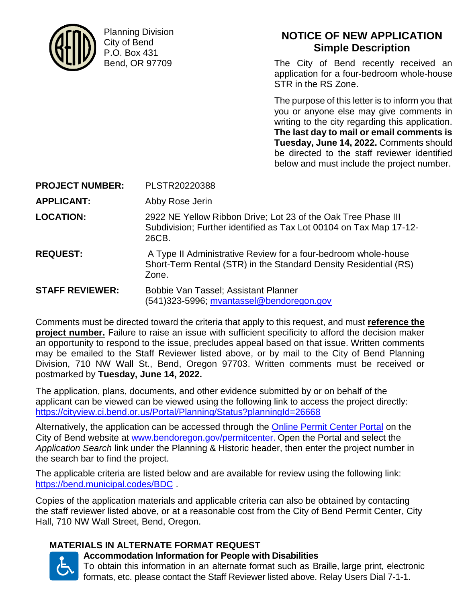

Planning Division City of Bend P.O. Box 431 Bend, OR 97709

**NOTICE OF NEW APPLICATION Simple Description**

The City of Bend recently received an application for a four-bedroom whole-house STR in the RS Zone.

The purpose of this letter is to inform you that you or anyone else may give comments in writing to the city regarding this application. **The last day to mail or email comments is Tuesday, June 14, 2022.** Comments should be directed to the staff reviewer identified below and must include the project number.

**PROJECT NUMBER:** PLSTR20220388

**APPLICANT:** Abby Rose Jerin

**LOCATION:** 2922 NE Yellow Ribbon Drive; Lot 23 of the Oak Tree Phase III Subdivision; Further identified as Tax Lot 00104 on Tax Map 17-12- 26CB.

**REQUEST:** A Type II Administrative Review for a four-bedroom whole-house Short-Term Rental (STR) in the Standard Density Residential (RS) Zone.

**STAFF REVIEWER:** Bobbie Van Tassel; Assistant Planner (541)323-5996; [mvantassel@bendoregon.gov](mailto:mvantassel@bendoregon.gov)

Comments must be directed toward the criteria that apply to this request, and must **reference the project number.** Failure to raise an issue with sufficient specificity to afford the decision maker an opportunity to respond to the issue, precludes appeal based on that issue. Written comments may be emailed to the Staff Reviewer listed above, or by mail to the City of Bend Planning Division, 710 NW Wall St., Bend, Oregon 97703. Written comments must be received or postmarked by **Tuesday, June 14, 2022.**

The application, plans, documents, and other evidence submitted by or on behalf of the applicant can be viewed can be viewed using the following link to access the project directly: <https://cityview.ci.bend.or.us/Portal/Planning/Status?planningId=26668>

Alternatively, the application can be accessed through the [Online Permit Center Portal](https://cityview.ci.bend.or.us/Portal/) on the City of Bend website at [www.bendoregon.gov/permitcenter.](http://www.bendoregon.gov/permitcenter) Open the Portal and select the *Application Search* link under the Planning & Historic header, then enter the project number in the search bar to find the project.

The applicable criteria are listed below and are available for review using the following link: <https://bend.municipal.codes/BDC> .

Copies of the application materials and applicable criteria can also be obtained by contacting the staff reviewer listed above, or at a reasonable cost from the City of Bend Permit Center, City Hall, 710 NW Wall Street, Bend, Oregon.

# **MATERIALS IN ALTERNATE FORMAT REQUEST**



**Accommodation Information for People with Disabilities**

To obtain this information in an alternate format such as Braille, large print, electronic formats, etc. please contact the Staff Reviewer listed above. Relay Users Dial 7-1-1.